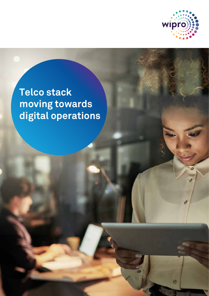

 $\overline{a}$ 

ø

ó

 $\bigcirc$ 

# **Telco stack moving towards digital operations**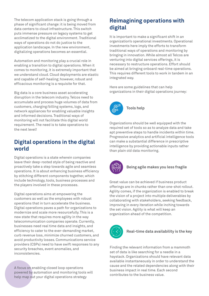The telecom application stack is going through a phase of significant change: it is being moved from data centers to cloud infrastructure. This switch puts immense pressure on legacy systems to get acclimatized to the digital environment. Traditional ways of operations do not do justice to the application landscape. In the new environment, digitalizing operations becomes an essential.

Automation and monitoring play a crucial role in enabling a transition to digital operations. When it comes to monitoring, it is extremely important that we understand cloud. Cloud deployments are elastic and capable of self-healing; however, robust and efficacious monitoring is a requisite for that.

Big data is a core business asset accelerating disruption in the telecom industry. Telcos need to accumulate and process huge volumes of data from customers, charging/billing systems, logs, and network appliances for enabling valuable insights and informed decisions. Traditional ways of monitoring will not facilitate this digital world requirement. The need is to take operations to the next level!

# **Digital operations in the digital world**

Digital operations is a state wherein companies leave their deep-rooted style of being reactive and proactively take a step towards agile and seamless operations. It is about enhancing business efficiency by stitching different components together, which include technology, tools, business processes and the players involved in these processes.

Digital operations aims at empowering the customers as well as the employees with robust operations that in turn accelerate the business. Digital operations paves a path for organizations to modernize and scale more resourcefully. This is a new state that requires more agility in the way telecommunication companies operate. Currently, businesses need real time data and insights, and efficiency to cater to the ever-demanding market, curb revenue loss, minimize churned customers, and avoid productivity losses. Communications service providers (CSPs) need to have swift responses to any security breaches, event anomalies, and inconsistencies.

A focus on enabling closed loop operations powered by automation and monitoring tools will help map out your digital operations strategy

# **Reimagining operations with digital**

It is important to make a significant shift in an organization's operational investments. Operational investments here imply the efforts to transform traditional ways of operations and monitoring by bringing in innovation. While almost all Telcos are venturing into digital services offerings, it is necessary to restructure operations. Effort should be aimed at bringing onboard real-time operations. This requires different tools to work in tandem in an integrated way.

Here are some guidelines that can help organizations in their digital operations journey:



Organizations should be well equipped with the required set of tools so as to analyze data and take apt preventive steps to handle incidents within time. Progressive analytics and artificial intelligence tools can make a substantial difference in prescriptive intelligence by providing actionable inputs rather than plain old data monitoring.



## **Being agile makes you less fragile**

Great value can be achieved if business product offerings are in chunks rather than one-shot rollout. Agility comes, if the organization is enabled to break the vision of a project into multiple deliverables by collaborating with stakeholders, seeking feedback, improving in every iteration while inching towards the set vision. Agility is what will keep an organization ahead of the competition.



### **Real-time data availability is the key**

Finding the relevant information from a mammoth set of data is like searching for a needle in a haystack. Organizations should have relevant data available instantaneously in order to understand the cause and the related dependencies along with their business impact in real time. Each second contributes to the business value.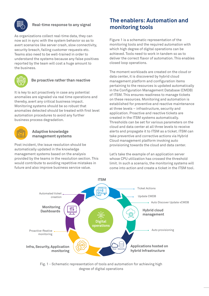

## **Real-time response to any signal**

As organizations collect real-time data, they can now act in sync with the system behavior so as to avert scenarios like server crash, slow connectivity, security breach, failing customer requests etc. Teams also need to be well-trained in order to understand the systems because any false positives reported by the team will cost a huge amount to the business.



## **Be proactive rather than reactive**

It is key to act proactively in case any potential anomalies are signaled via real time operations and thereby, avert any critical business impact. Monitoring systems should be so robust that anomalies detected should be treated with first level automation procedures to avoid any further business process degradation.



#### **Adaptive knowledge management systems**

Post incident, the issue resolution should be automatically updated in the knowledge management systems based on the analysis provided by the teams in the resolution section. This would contribute to avoiding repetitive mistakes in future and also improve business service value.

# **The enablers: Automation and monitoring tools**

Figure 1 is a schematic representation of the monitoring tools and the required automation with which high degree of digital operations can be achieved. Tools need to work in tandem so as to deliver the correct flavor of automation. This enables closed loop operations.

The moment workloads are created on the cloud or data center, it is discovered by hybrid cloud management platform and configuration items pertaining to the resources is updated automatically in the Configuration Management Database (CMDB) of ITSM. This ensures readiness to manage tickets on these resources. Monitoring and automation is established for preventive and reactive maintenance at three levels – infrastructure, security and application. Proactive and reactive tickets are created in the ITSM systems automatically. Thresholds can be set for various parameters on the cloud and data center at all three levels to receive alerts and propagate it to ITSM as a ticket. ITSM can take preventive and corrective actions via Hybrid Cloud management platform invoking auto provisioning towards the cloud and data center.

Let's take the example of an application server whose CPU utilization has crossed the threshold limit. In such a scenario, the monitoring systems will come into action and create a ticket in the ITSM tool.



Fig. 1 - Schematic representation of tools and automation for achieving high degree of digital operations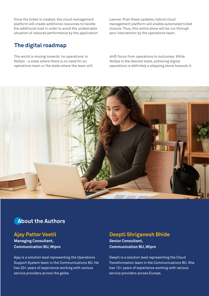Once the ticket is created, the cloud management platform will create additional resources to handle the additional load in order to avoid the undesirable situation of reduced performance by the application Lserver. Post these updates, hybrid cloud management platform will enable automated ticket closure. Thus, this entire show will be run through zero intervention by the operations team.

## **The digital roadmap**

The world is moving towards 'no operations' or NoOps - a state where there is no need for an operations team or the state where the team will shift focus from operations to outcomes. While NoOps is the desired state, achieving digital operations is definitely a stepping stone towards it.



# **About the Authors**

## **Ajay Patter Veetil**

**Managing Consultant, Communication BU, Wipro** 

Ajay is a solution lead representing the Operations Support System team in the Communications BU. He has 20+ years of experience working with various service providers across the globe.

## **Deepti Shriganesh Bhide**

**Senior Consultant, Communication BU, Wipro**

Deepti is a solution lead representing the Cloud Transformation team in the Communications BU. She has 13+ years of experience working with various service providers across Europe.